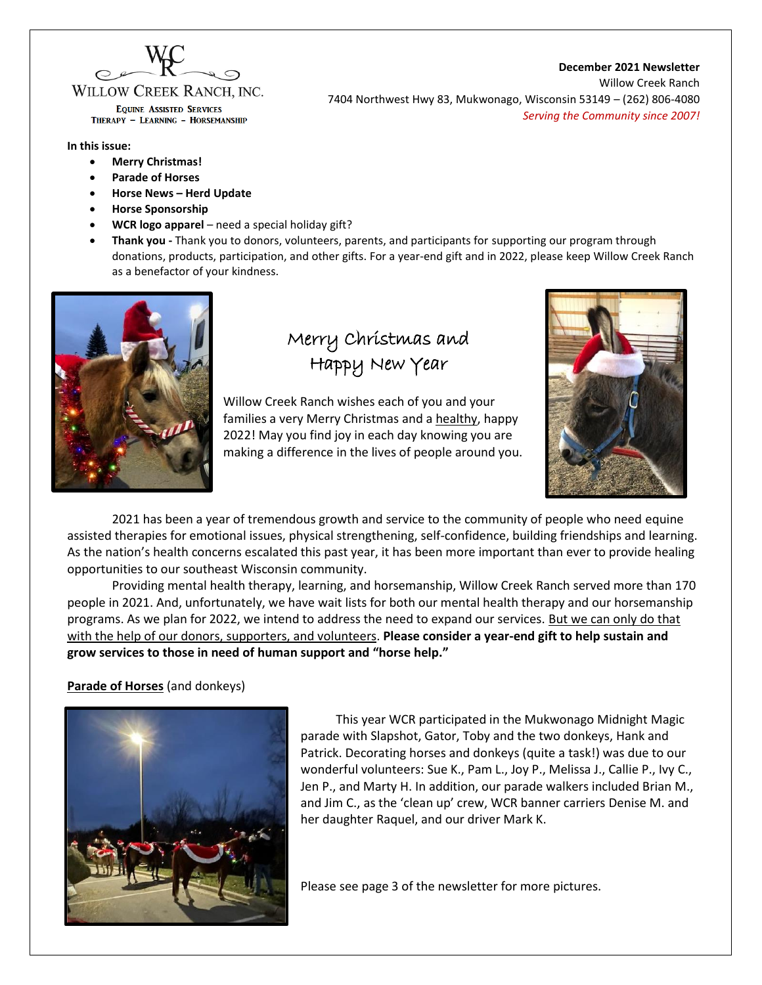

WILLOW CREEK RANCH. INC. **EQUINE ASSISTED SERVICES** 

THERAPY - LEARNING - HORSEMANSHIP

#### **In this issue:**

- **Merry Christmas!**
- **Parade of Horses**
- **Horse News – Herd Update**
- **Horse Sponsorship**
- **WCR logo apparel**  need a special holiday gift?
- **Thank you -** Thank you to donors, volunteers, parents, and participants for supporting our program through donations, products, participation, and other gifts. For a year-end gift and in 2022, please keep Willow Creek Ranch as a benefactor of your kindness.



# Merry Christmas and Happy New Year

Willow Creek Ranch wishes each of you and your families a very Merry Christmas and a healthy, happy 2022! May you find joy in each day knowing you are making a difference in the lives of people around you.



2021 has been a year of tremendous growth and service to the community of people who need equine assisted therapies for emotional issues, physical strengthening, self-confidence, building friendships and learning. As the nation's health concerns escalated this past year, it has been more important than ever to provide healing opportunities to our southeast Wisconsin community.

Providing mental health therapy, learning, and horsemanship, Willow Creek Ranch served more than 170 people in 2021. And, unfortunately, we have wait lists for both our mental health therapy and our horsemanship programs. As we plan for 2022, we intend to address the need to expand our services. But we can only do that with the help of our donors, supporters, and volunteers. **Please consider a year-end gift to help sustain and grow services to those in need of human support and "horse help."**

### **Parade of Horses** (and donkeys)



This year WCR participated in the Mukwonago Midnight Magic parade with Slapshot, Gator, Toby and the two donkeys, Hank and Patrick. Decorating horses and donkeys (quite a task!) was due to our wonderful volunteers: Sue K., Pam L., Joy P., Melissa J., Callie P., Ivy C., Jen P., and Marty H. In addition, our parade walkers included Brian M., and Jim C., as the 'clean up' crew, WCR banner carriers Denise M. and her daughter Raquel, and our driver Mark K.

Please see page 3 of the newsletter for more pictures.

**December 2021 Newsletter**

Willow Creek Ranch 7404 Northwest Hwy 83, Mukwonago, Wisconsin 53149 – (262) 806-4080 *Serving the Community since 2007!*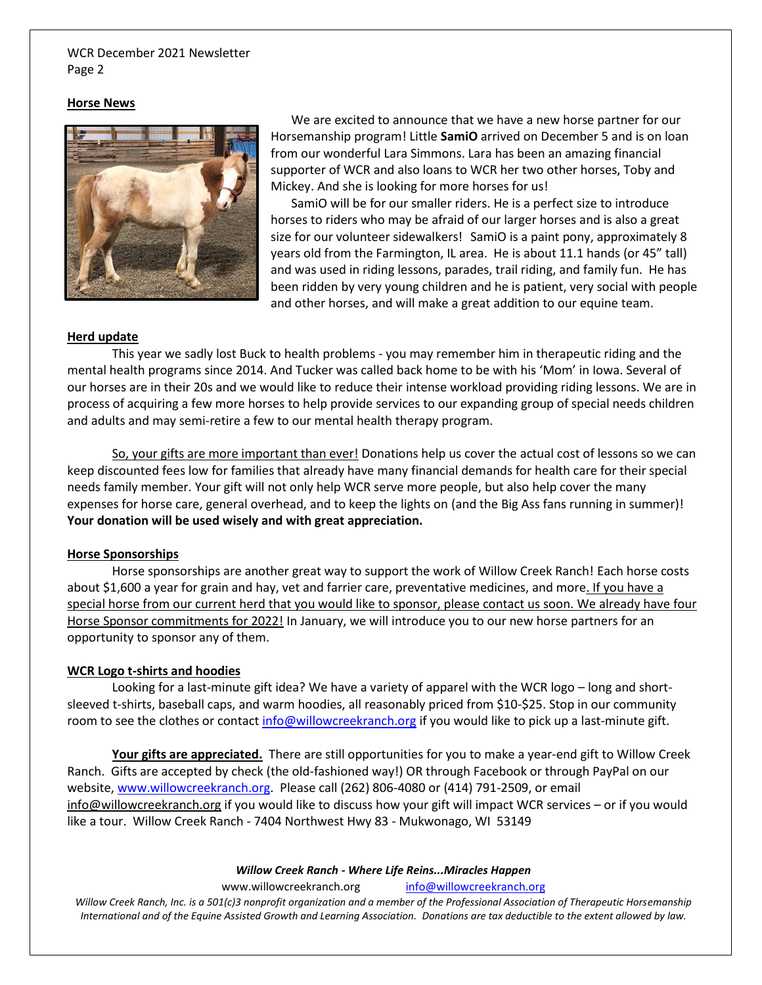#### WCR December 2021 Newsletter Page 2

#### **Horse News**



We are excited to announce that we have a new horse partner for our Horsemanship program! Little **SamiO** arrived on December 5 and is on loan from our wonderful Lara Simmons. Lara has been an amazing financial supporter of WCR and also loans to WCR her two other horses, Toby and Mickey. And she is looking for more horses for us!

SamiO will be for our smaller riders. He is a perfect size to introduce horses to riders who may be afraid of our larger horses and is also a great size for our volunteer sidewalkers! SamiO is a paint pony, approximately 8 years old from the Farmington, IL area. He is about 11.1 hands (or 45" tall) and was used in riding lessons, parades, trail riding, and family fun. He has been ridden by very young children and he is patient, very social with people and other horses, and will make a great addition to our equine team.

#### **Herd update**

This year we sadly lost Buck to health problems - you may remember him in therapeutic riding and the mental health programs since 2014. And Tucker was called back home to be with his 'Mom' in Iowa. Several of our horses are in their 20s and we would like to reduce their intense workload providing riding lessons. We are in process of acquiring a few more horses to help provide services to our expanding group of special needs children and adults and may semi-retire a few to our mental health therapy program.

So, your gifts are more important than ever! Donations help us cover the actual cost of lessons so we can keep discounted fees low for families that already have many financial demands for health care for their special needs family member. Your gift will not only help WCR serve more people, but also help cover the many expenses for horse care, general overhead, and to keep the lights on (and the Big Ass fans running in summer)! **Your donation will be used wisely and with great appreciation.**

#### **Horse Sponsorships**

Horse sponsorships are another great way to support the work of Willow Creek Ranch! Each horse costs about \$1,600 a year for grain and hay, vet and farrier care, preventative medicines, and more. If you have a special horse from our current herd that you would like to sponsor, please contact us soon. We already have four Horse Sponsor commitments for 2022! In January, we will introduce you to our new horse partners for an opportunity to sponsor any of them.

#### **WCR Logo t-shirts and hoodies**

Looking for a last-minute gift idea? We have a variety of apparel with the WCR logo – long and shortsleeved t-shirts, baseball caps, and warm hoodies, all reasonably priced from \$10-\$25. Stop in our community room to see the clothes or contac[t info@willowcreekranch.org](mailto:info@willowcreekranch.org) if you would like to pick up a last-minute gift.

**Your gifts are appreciated.** There are still opportunities for you to make a year-end gift to Willow Creek Ranch. Gifts are accepted by check (the old-fashioned way!) OR through Facebook or through PayPal on our website, [www.willowcreekranch.org.](http://www.willowcreekranch.org/) Please call (262) 806-4080 or (414) 791-2509, or email info@willowcreekranch.org if you would like to discuss how your gift will impact WCR services – or if you would like a tour. Willow Creek Ranch - 7404 Northwest Hwy 83 - Mukwonago, WI 53149

*Willow Creek Ranch - Where Life Reins...Miracles Happen*

www.willowcreekranch.org [info@willowcreekranch.org](mailto:info@willowcreekranch.org)

*Willow Creek Ranch, Inc. is a 501(c)3 nonprofit organization and a member of the Professional Association of Therapeutic Horsemanship International and of the Equine Assisted Growth and Learning Association. Donations are tax deductible to the extent allowed by law.*